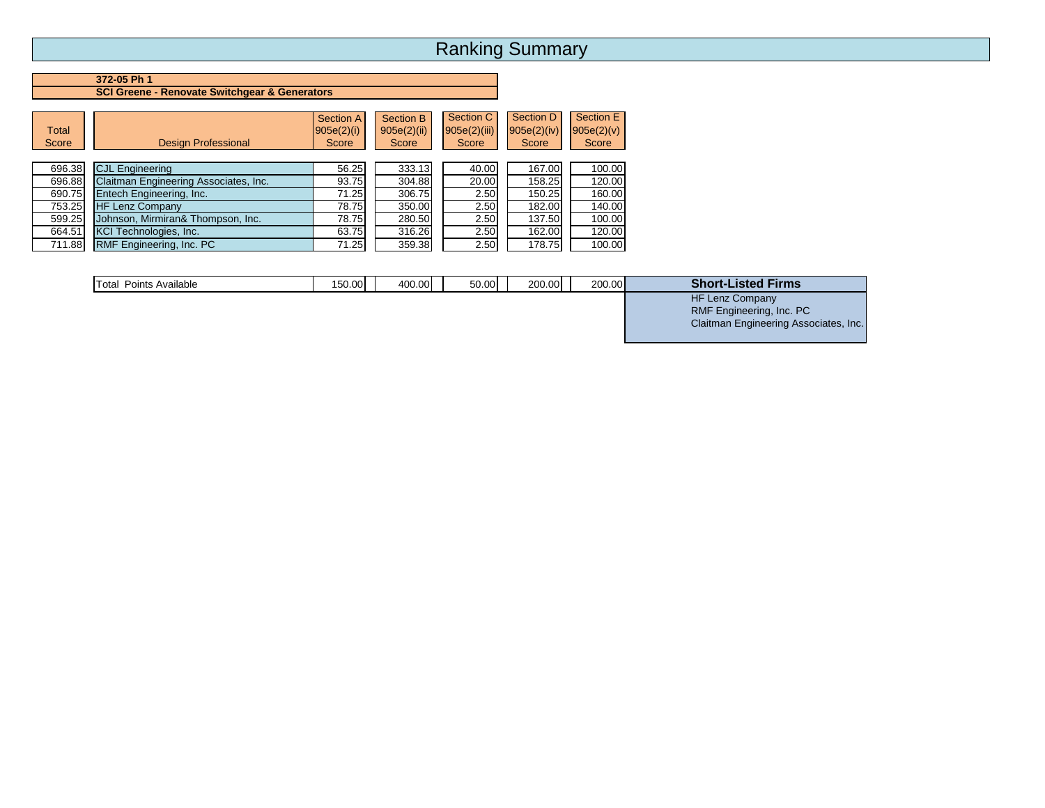### **372-05 Ph 1 SCI Greene - Renovate Switchgear & Generators**

| <b>Total</b><br>Score | <b>Design Professional</b>            | Section A<br>905e(2)(i)<br>Score | Section B<br>905e(2)(ii)<br>Score | Section C<br>905e(2)(iii)<br>Score | Section D<br>$905e(2)$ (iv)<br>Score | Section E<br>905e(2)(v)<br>Score |
|-----------------------|---------------------------------------|----------------------------------|-----------------------------------|------------------------------------|--------------------------------------|----------------------------------|
| 696.38                | <b>CJL Engineering</b>                | 56.25                            | 333.13                            | 40.00                              | 167.00                               | 100.00                           |
| 696.88                | Claitman Engineering Associates, Inc. | 93.75                            | 304.88                            | 20.00                              | 158.25                               | 120.00                           |
| 690.75                | Entech Engineering, Inc.              | 71.25                            | 306.75                            | 2.50                               | 150.25                               | 160.00                           |
| 753.25                | <b>HF Lenz Company</b>                | 78.75                            | 350.00                            | 2.50                               | 182.00                               | 140.00                           |
| 599.25                | Johnson, Mirmiran& Thompson, Inc.     | 78.75                            | 280.50                            | 2.50                               | 137.50                               | 100.00                           |
| 664.51                | <b>KCI Technologies, Inc.</b>         | 63.75                            | 316.26                            | 2.50                               | 162.00                               | 120.00                           |
| 711.88                | <b>RMF Engineering, Inc. PC</b>       | 71.25                            | 359.38                            | 2.50                               | 178.75                               | 100.00                           |

| <b>Total Points Available</b> | 150.00 | 400.00 | 50.00 | 200.00 | 200.00 | <b>Short-Listed Firms</b>             |
|-------------------------------|--------|--------|-------|--------|--------|---------------------------------------|
|                               |        |        |       |        |        | <b>HF Lenz Company</b>                |
|                               |        |        |       |        |        | RMF Engineering, Inc. PC              |
|                               |        |        |       |        |        | Claitman Engineering Associates, Inc. |
|                               |        |        |       |        |        |                                       |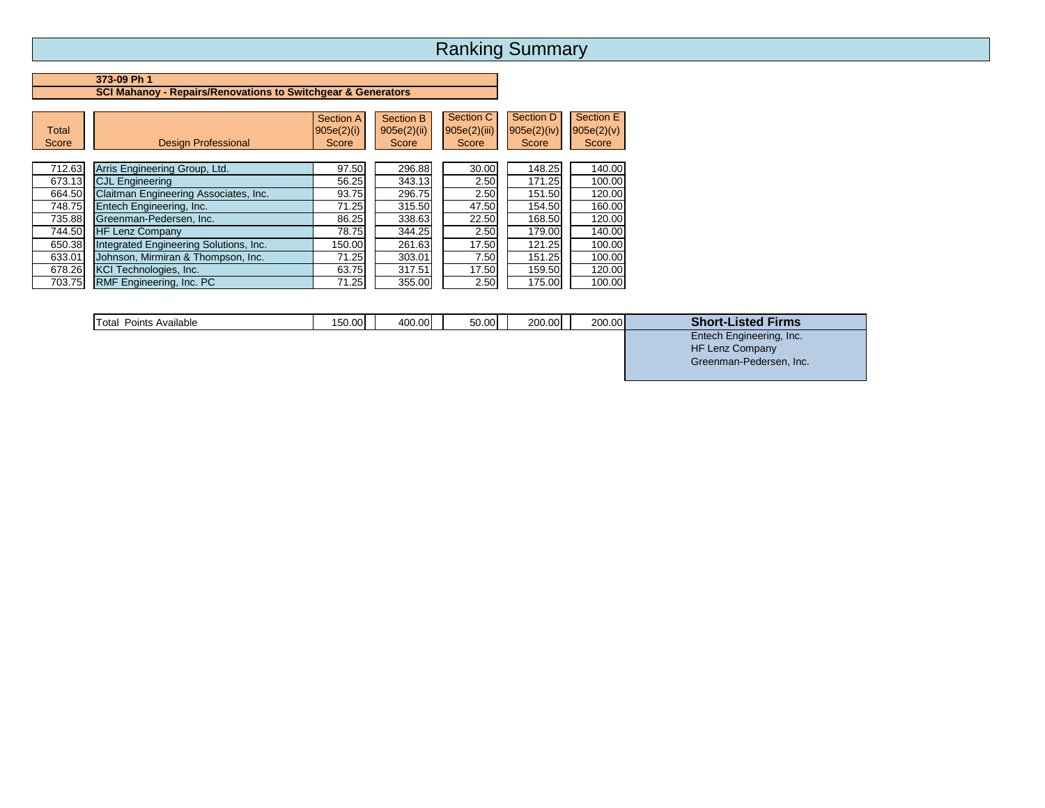#### **373-09 Ph 1 SCI Mahanoy - Repairs/Renovations to Switchgear & Generators**

| Total<br>Score | <b>Design Professional</b>             | <b>Section A</b><br>905e(2)(i)<br>Score | Section B<br>905e(2)(ii)<br>Score | Section C<br>905e(2)(iii)<br>Score | Section D<br>$905e(2)$ (iv)<br>Score | Section E<br>905e(2)(v)<br>Score |
|----------------|----------------------------------------|-----------------------------------------|-----------------------------------|------------------------------------|--------------------------------------|----------------------------------|
| 712.63         | Arris Engineering Group, Ltd.          | 97.50                                   | 296.88                            | 30.00                              | 148.25                               | 140.00                           |
| 673.13         | <b>CJL Engineering</b>                 | 56.25                                   | 343.13                            | 2.50                               | 171.25                               | 100.00                           |
| 664.50         | Claitman Engineering Associates, Inc.  | 93.75                                   | 296.75                            | 2.50                               | 151.50                               | 120.00                           |
| 748.75         | Entech Engineering, Inc.               | 71.25                                   | 315.50                            | 47.50                              | 154.50                               | 160.00                           |
| 735.88         | Greenman-Pedersen, Inc.                | 86.25                                   | 338.63                            | 22.50                              | 168.50                               | 120.00                           |
| 744.50         | <b>HF Lenz Company</b>                 | 78.75                                   | 344.25                            | 2.50                               | 179.00                               | 140.00                           |
| 650.38         | Integrated Engineering Solutions, Inc. | 150.00                                  | 261.63                            | 17.50                              | 121.25                               | 100.00                           |
| 633.01         | Johnson, Mirmiran & Thompson, Inc.     | 71.25                                   | 303.01                            | 7.50                               | 151.25                               | 100.00                           |
| 678.26         | <b>KCI Technologies, Inc.</b>          | 63.75                                   | 317.51                            | 17.50                              | 159.50                               | 120.00                           |
| 703.75         | RMF Engineering, Inc. PC               | 71.25                                   | 355.00                            | 2.50                               | 175.00                               | 100.00                           |

| <b>Total</b><br>Points Available | 150.00 | 400.00 | 50.00 | 200.00 | 200.00 | <b>Short</b><br>. .<br>Firms<br>Lister |
|----------------------------------|--------|--------|-------|--------|--------|----------------------------------------|
|                                  |        |        |       |        |        | Entech F<br>Engineering, Inc.          |

Threshold Points Required 0.000 0.000 0.000 0.000 0.000 0.000 0.000 0.000 0.000 0.000 0.000 0.000 0.000 0.000 0.000 0.000 0.000 0.000 0.000 0.000 0.000 0.000 0.000 0.000 0.000 0.000 0.000 0.000 0.000 0.000 0.000 0.000 0.00

Greenman-Pedersen, Inc.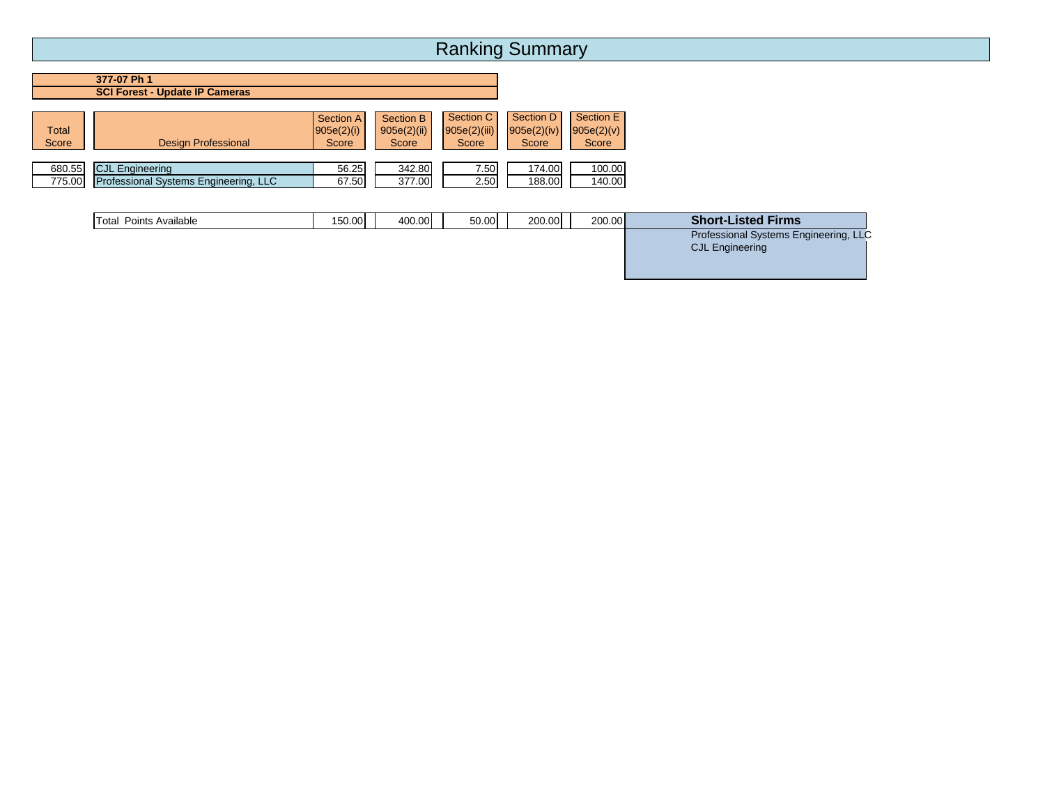**377-07 Ph 1 SCI Forest - Update IP Cameras**

| <b>Total</b><br>Score | Design Professional    | Section A<br> 905e(2)(i) <br>Score | Section B<br>905e(2)(ii)<br>Score | Section C<br>905e(2)(iii)<br>Score | Section D<br>905e(2)(iv)<br>Score | Section E<br>905e(2)(v)<br>Score |
|-----------------------|------------------------|------------------------------------|-----------------------------------|------------------------------------|-----------------------------------|----------------------------------|
|                       |                        |                                    |                                   |                                    |                                   |                                  |
| 680.55                | <b>CJL Engineering</b> | 56.25                              | 342.80                            | 7.50                               | 174.00                            | 100.00                           |

| Total Points Available | 150.00 | 400.00 | 50.00 | 200.00 | 200.00 | <b>Short-Listed Firms</b>             |
|------------------------|--------|--------|-------|--------|--------|---------------------------------------|
|                        |        |        |       |        |        | Professional Systems Engineering, LLC |
|                        |        |        |       |        |        | <b>CJL Engineering</b>                |
|                        |        |        |       |        |        |                                       |
|                        |        |        |       |        |        |                                       |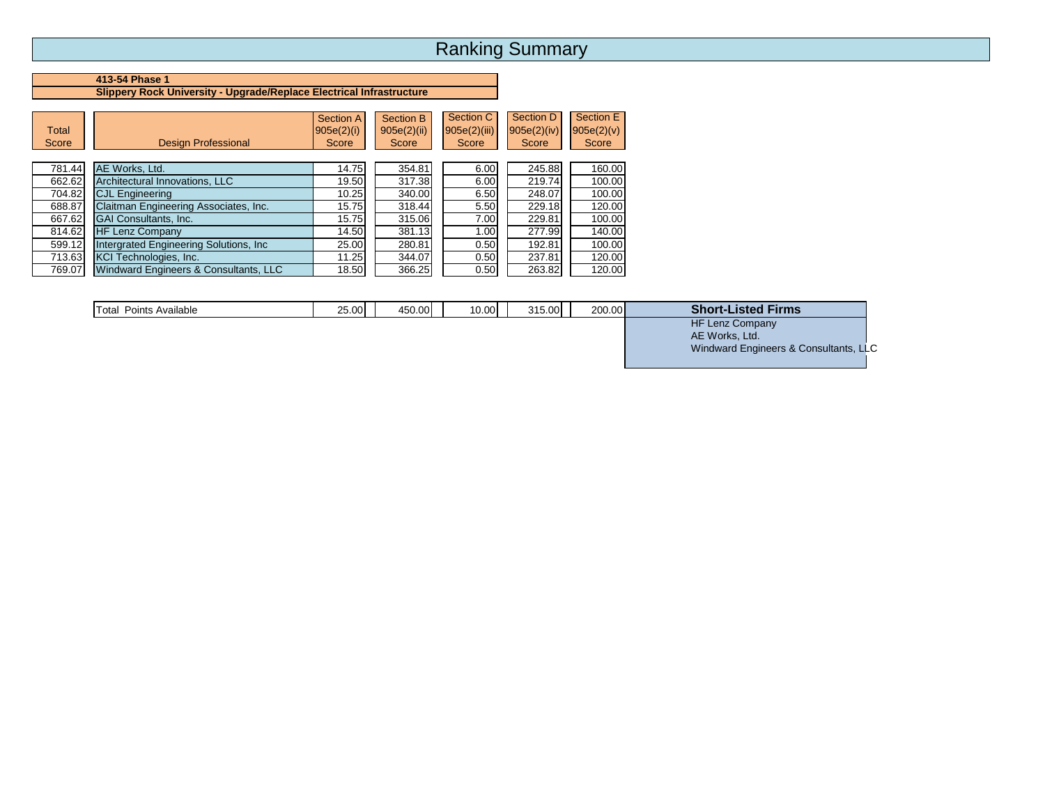#### **413-54 Phase 1 Slippery Rock University - Upgrade/Replace Electrical Infrastructure**

| <b>Total</b><br>Score | <b>Design Professional</b>              | <b>Section A</b><br>905e(2)(i)<br>Score | Section B<br>905e(2)(ii)<br>Score | Section C<br>905e(2)(iii)<br>Score | Section D<br>$905e(2)$ (iv)<br>Score | Section E<br>905e(2)(v)<br>Score |
|-----------------------|-----------------------------------------|-----------------------------------------|-----------------------------------|------------------------------------|--------------------------------------|----------------------------------|
| 781.44                | AE Works, Ltd.                          | 14.75                                   | 354.81                            | 6.00                               | 245.88                               | 160.00                           |
| 662.62                | Architectural Innovations, LLC          | 19.50                                   | 317.38                            | 6.00                               | 219.74                               | 100.00                           |
| 704.82                | <b>CJL Engineering</b>                  | 10.25                                   | 340.00                            | 6.50                               | 248.07                               | 100.00                           |
| 688.87                | Claitman Engineering Associates, Inc.   | 15.75                                   | 318.44                            | 5.50                               | 229.18                               | 120.00                           |
| 667.62                | <b>GAI Consultants, Inc.</b>            | 15.75                                   | 315.06                            | 7.00                               | 229.81                               | 100.00                           |
| 814.62                | <b>HF Lenz Company</b>                  | 14.50                                   | 381.13                            | 1.00                               | 277.99                               | 140.00                           |
| 599.12                | Intergrated Engineering Solutions, Inc. | 25.00                                   | 280.81                            | 0.50                               | 192.81                               | 100.00                           |
| 713.63                | <b>KCI Technologies, Inc.</b>           | 11.25                                   | 344.07                            | 0.50                               | 237.81                               | 120.00                           |
| 769.07                | Windward Engineers & Consultants, LLC   | 18.50                                   | 366.25                            | 0.50                               | 263.82                               | 120.00                           |

| Points Available<br>Total | 25.00 | 450.00 | 10.00 | 315.00 | 200.00 | <b>Short-Listed Firms</b> |
|---------------------------|-------|--------|-------|--------|--------|---------------------------|
|                           |       |        |       |        |        | <b>HF Lenz Company</b>    |
|                           |       |        |       |        |        | AE Works, Ltd.            |

Windward Engineers & Consultants, LLC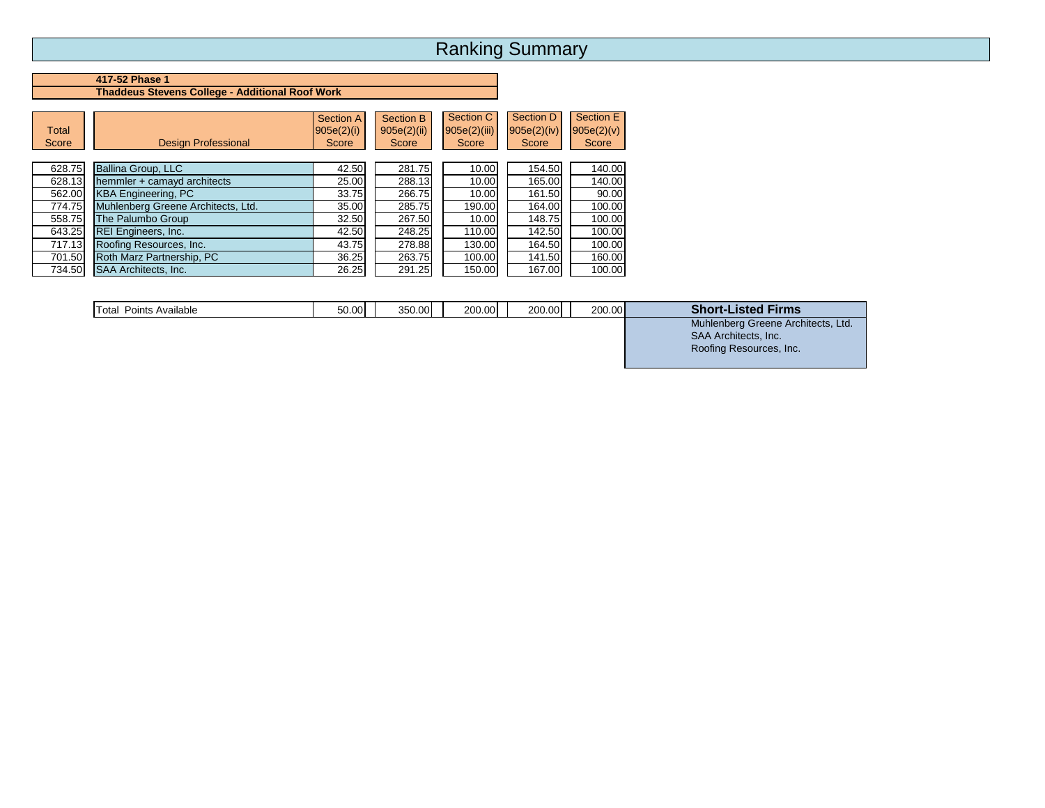#### **417-52 Phase 1 Thaddeus Stevens College - Additional Roof Work**

| <b>Total</b><br>Score | <b>Design Professional</b>         | <b>Section A</b><br> 905e(2)(i) <br>Score | Section B<br>905e(2)(ii)<br>Score | Section C<br>905e(2)(iii)<br>Score | Section D<br>$905e(2)$ (iv)<br>Score | Section E<br>905e(2)(v)<br>Score |
|-----------------------|------------------------------------|-------------------------------------------|-----------------------------------|------------------------------------|--------------------------------------|----------------------------------|
| 628.75                | Ballina Group, LLC                 | 42.50                                     | 281.75                            | 10.00                              | 154.50                               | 140.00                           |
| 628.13                | hemmler + camayd architects        | 25.00                                     | 288.13                            | 10.00                              | 165.00                               | 140.00                           |
| 562.00                | <b>KBA Engineering, PC</b>         | 33.75                                     | 266.75                            | 10.00                              | 161.50                               | 90.00                            |
| 774.75                | Muhlenberg Greene Architects, Ltd. | 35.00                                     | 285.75                            | 190.00                             | 164.00                               | 100.00                           |
| 558.75                | The Palumbo Group                  | 32.50                                     | 267.50                            | 10.00                              | 148.75                               | 100.00                           |
| 643.25                | <b>REI Engineers, Inc.</b>         | 42.50                                     | 248.25                            | 110.00                             | 142.50                               | 100.00                           |
| 717.13                | Roofing Resources, Inc.            | 43.75                                     | 278.88                            | 130.00                             | 164.50                               | 100.00                           |
| 701.50                | Roth Marz Partnership, PC          | 36.25                                     | 263.75                            | 100.00                             | 141.50                               | 160.00                           |
| 734.50                | <b>SAA Architects, Inc.</b>        | 26.25                                     | 291.25                            | 150.00                             | 167.00                               | 100.00                           |

| Total Points Available | 50.00 | 350.00 | 200.00 | 200.00 | 200.00 | <b>Short-Listed Firms</b>          |
|------------------------|-------|--------|--------|--------|--------|------------------------------------|
|                        |       |        |        |        |        | Muhlenberg Greene Architects, Ltd. |
|                        |       |        |        |        |        | <b>SAA Architects, Inc.</b>        |

Roofing Resources, Inc.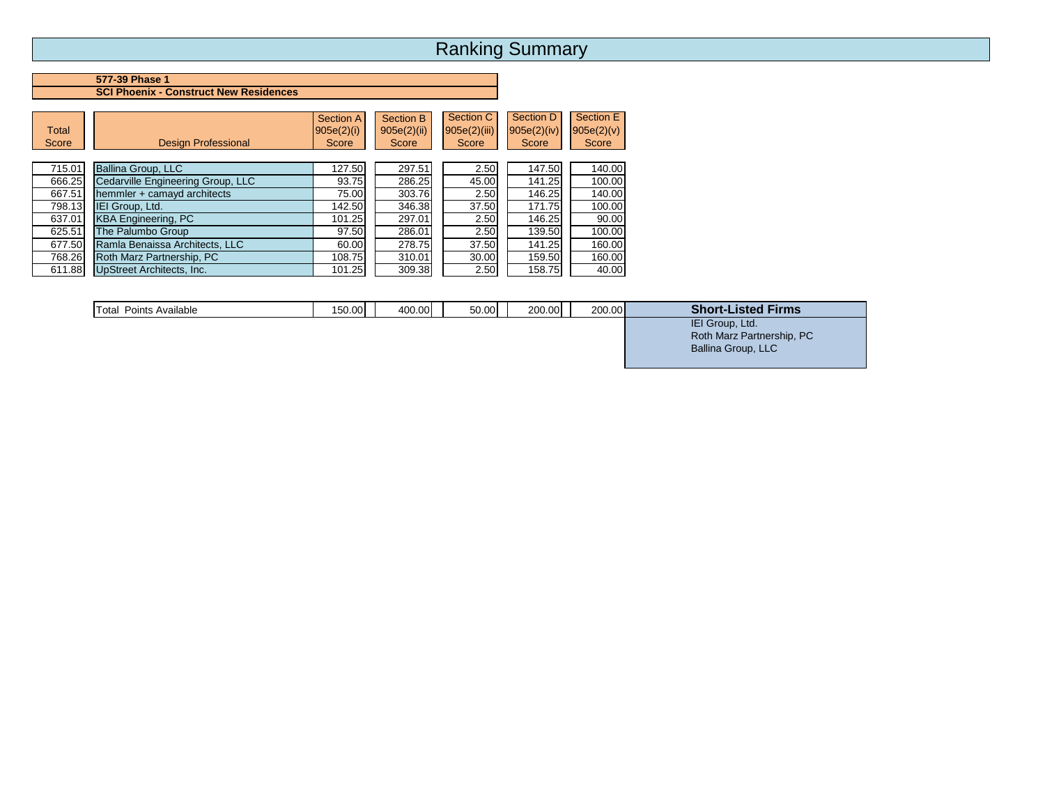### **577-39 Phase 1 SCI Phoenix - Construct New Residences**

| Total<br>Score | <b>Design Professional</b>        | Section A<br>905e(2)(i)<br>Score | Section B<br>905e(2)(ii)<br>Score | Section C<br>905e(2)(iii)<br>Score | Section D<br>$905e(2)$ (iv)<br>Score | Section E<br>905e(2)(v)<br>Score |
|----------------|-----------------------------------|----------------------------------|-----------------------------------|------------------------------------|--------------------------------------|----------------------------------|
| 715.01         | Ballina Group, LLC                | 127.50                           | 297.51                            | 2.50                               | 147.50                               | 140.00                           |
| 666.25         | Cedarville Engineering Group, LLC | 93.75                            | 286.25                            | 45.00                              | 141.25                               | 100.00                           |
| 667.51         | hemmler + camayd architects       | 75.00                            | 303.76                            | 2.50                               | 146.25                               | 140.00                           |
| 798.13         | IEI Group, Ltd.                   | 142.50                           | 346.38                            | 37.50                              | 171.75                               | 100.00                           |
| 637.01         | <b>KBA Engineering, PC</b>        | 101.25                           | 297.01                            | 2.50                               | 146.25                               | 90.00                            |
| 625.51         | The Palumbo Group                 | 97.50                            | 286.01                            | 2.50                               | 139.50                               | 100.00                           |
| 677.50         | Ramla Benaissa Architects, LLC    | 60.00                            | 278.75                            | 37.50                              | 141.25                               | 160.00                           |
| 768.26         | Roth Marz Partnership, PC         | 108.75                           | 310.01                            | 30.00                              | 159.50                               | 160.00                           |
| 611.88         | <b>UpStreet Architects, Inc.</b>  | 101.25                           | 309.38                            | 2.50                               | 158.75                               | 40.00                            |

| Total<br>Points Available | 150.00 | 400.00 | 50.00 | 200.00 | 200.00 | <b>Short-Listed Firms</b> |
|---------------------------|--------|--------|-------|--------|--------|---------------------------|
|                           |        |        |       |        |        | IEI Group, Ltd.           |
|                           |        |        |       |        |        | Roth Marz Partnership, PC |
|                           |        |        |       |        |        | Ballina Group, LLC        |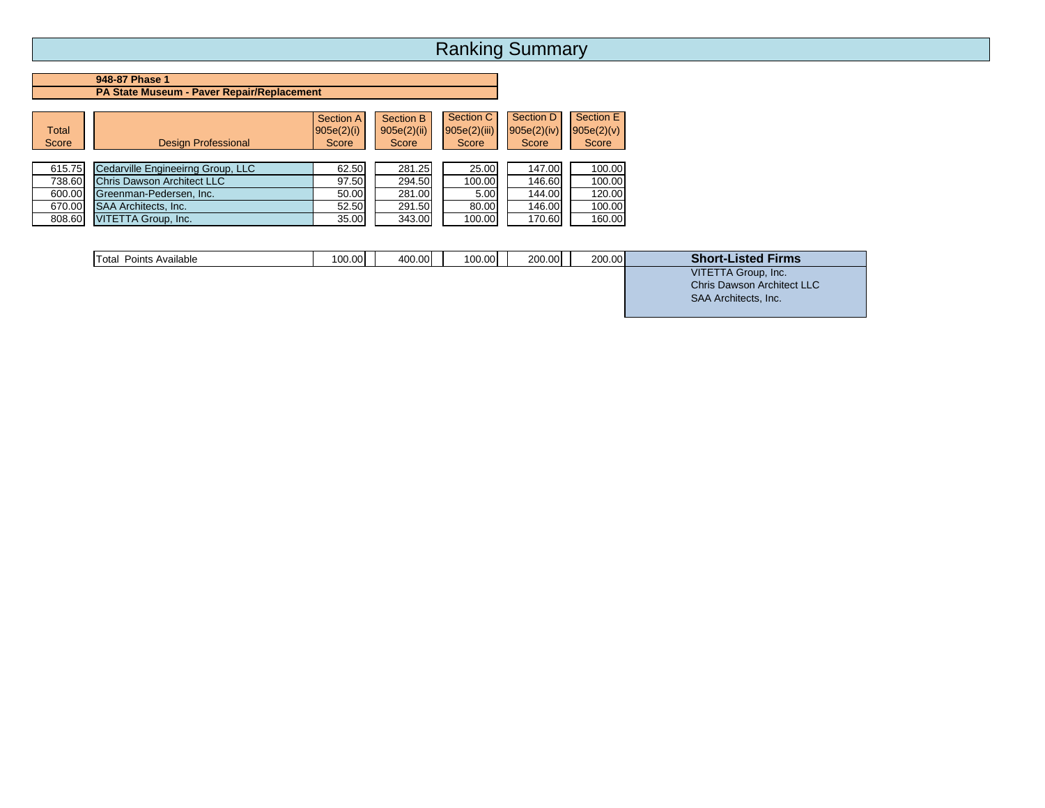### **948-87 Phase 1 PA State Museum - Paver Repair/Replacement**

| Total<br>Score | <b>Design Professional</b>        | Section A<br> 905e(2)(i) <br>Score | Section B<br>905e(2)(ii)<br>Score | Section C<br>905e(2)(iii)<br>Score | Section D<br>905e(2)(iv)<br>Score | Section E<br>905e(2)(v)<br>Score |
|----------------|-----------------------------------|------------------------------------|-----------------------------------|------------------------------------|-----------------------------------|----------------------------------|
| 615.75         | Cedarville Engineeirng Group, LLC | 62.50                              | 281.25                            | 25.00                              | 147.00                            | 100.00                           |
| 738.60         | Chris Dawson Architect LLC        | 97.50                              | 294.50                            | 100.00                             | 146.60                            | 100.00                           |
| 600.00         | Greenman-Pedersen, Inc.           | 50.00                              | 281.00                            | 5.00                               | 144.00                            | 120.00                           |
| 670.00         | <b>SAA Architects, Inc.</b>       | 52.50                              | 291.50                            | 80.00                              | 146.00                            | 100.00                           |
| 808.60         | VITETTA Group, Inc.               | 35.00                              | 343.00                            | 100.00                             | 170.60                            | 160.00                           |

| VITETTA Group, Inc.<br><b>Chris Dawson Architect LLC</b> | <b>Total Points Available</b> | 100.00 | 400.00 | 100.00 | 200.00 | 200.00 | <b>Short-Listed Firms</b>   |
|----------------------------------------------------------|-------------------------------|--------|--------|--------|--------|--------|-----------------------------|
|                                                          |                               |        |        |        |        |        | <b>SAA Architects, Inc.</b> |